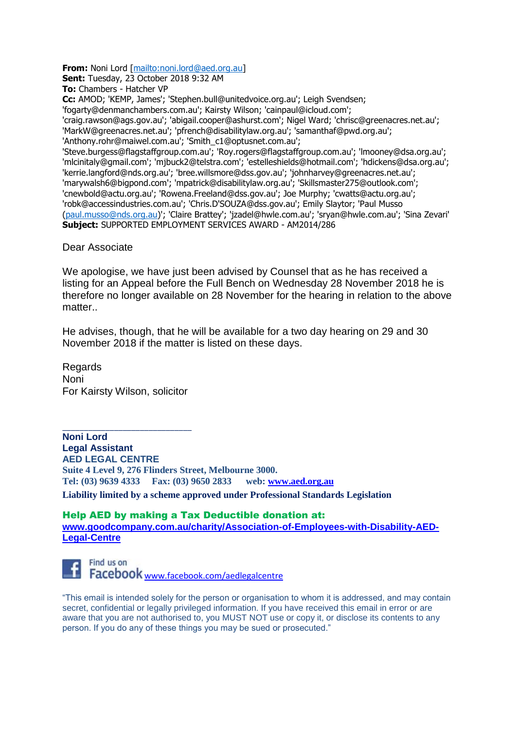**From:** Noni Lord [\[mailto:noni.lord@aed.org.au\]](mailto:noni.lord@aed.org.au)

**Sent:** Tuesday, 23 October 2018 9:32 AM

**To:** Chambers - Hatcher VP

**Cc:** AMOD; 'KEMP, James'; 'Stephen.bull@unitedvoice.org.au'; Leigh Svendsen;

'fogarty@denmanchambers.com.au'; Kairsty Wilson; 'cainpaul@icloud.com';

'craig.rawson@ags.gov.au'; 'abigail.cooper@ashurst.com'; Nigel Ward; 'chrisc@greenacres.net.au'; 'MarkW@greenacres.net.au'; 'pfrench@disabilitylaw.org.au'; 'samanthaf@pwd.org.au'; 'Anthony.rohr@maiwel.com.au'; 'Smith\_c1@optusnet.com.au';

'Steve.burgess@flagstaffgroup.com.au'; 'Roy.rogers@flagstaffgroup.com.au'; 'lmooney@dsa.org.au'; 'mlcinitaly@gmail.com'; 'mjbuck2@telstra.com'; 'estelleshields@hotmail.com'; 'hdickens@dsa.org.au'; 'kerrie.langford@nds.org.au'; 'bree.willsmore@dss.gov.au'; 'johnharvey@greenacres.net.au'; 'marywalsh6@bigpond.com'; 'mpatrick@disabilitylaw.org.au'; 'Skillsmaster275@outlook.com'; 'cnewbold@actu.org.au'; 'Rowena.Freeland@dss.gov.au'; Joe Murphy; 'cwatts@actu.org.au'; 'robk@accessindustries.com.au'; 'Chris.D'SOUZA@dss.gov.au'; Emily Slaytor; 'Paul Musso [\(paul.musso@nds.org.au\)](mailto:paul.musso@nds.org.au)'; 'Claire Brattey'; 'jzadel@hwle.com.au'; 'sryan@hwle.com.au'; 'Sina Zevari' **Subject:** SUPPORTED EMPLOYMENT SERVICES AWARD - AM2014/286

Dear Associate

We apologise, we have just been advised by Counsel that as he has received a listing for an Appeal before the Full Bench on Wednesday 28 November 2018 he is therefore no longer available on 28 November for the hearing in relation to the above matter

He advises, though, that he will be available for a two day hearing on 29 and 30 November 2018 if the matter is listed on these days.

**Regards** Noni For Kairsty Wilson, solicitor

\_\_\_\_\_\_\_\_\_\_\_\_\_\_\_\_\_\_\_\_\_\_\_\_\_\_\_\_\_\_

**Noni Lord Legal Assistant AED LEGAL CENTRE Suite 4 Level 9, 276 Flinders Street, Melbourne 3000.**<br> **Tel:** (03) 9639 4333 Fax: (03) 9650 2833 web: www.aed.org.au **Tel: (03) 9639 4333 Fax: (03) 9650 2833** 

**Liability limited by a scheme approved under Professional Standards Legislation**

## Help AED by making a Tax Deductible donation at:

**[www.goodcompany.com.au/charity/Association-of-Employees-with-Disability-AED-](http://www.goodcompany.com.au/charity/Association-of-Employees-with-Disability-AED-Legal-Centre)[Legal-Centre](http://www.goodcompany.com.au/charity/Association-of-Employees-with-Disability-AED-Legal-Centre)**



Find us on Facebook <www.facebook.com/aedlegalcentre>

"This email is intended solely for the person or organisation to whom it is addressed, and may contain secret, confidential or legally privileged information. If you have received this email in error or are aware that you are not authorised to, you MUST NOT use or copy it, or disclose its contents to any person. If you do any of these things you may be sued or prosecuted."